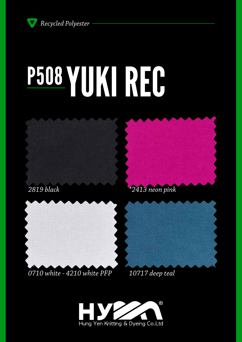*Recycled Polyester*

# P508 YUKI REG







### *0710 white - 4210 white PFP*



*10717 deep teal*